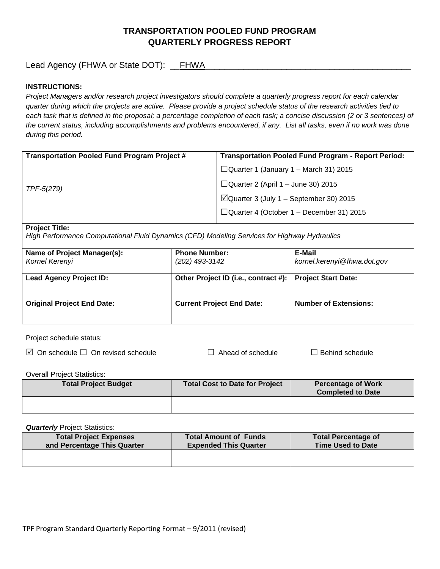# **TRANSPORTATION POOLED FUND PROGRAM QUARTERLY PROGRESS REPORT**

Lead Agency (FHWA or State DOT): \_\_FHWA\_\_\_\_\_\_\_\_\_\_\_\_\_\_\_\_\_\_\_\_\_\_\_\_\_\_\_\_\_\_\_\_\_\_\_\_\_\_\_\_\_\_\_

## **INSTRUCTIONS:**

*Project Managers and/or research project investigators should complete a quarterly progress report for each calendar quarter during which the projects are active. Please provide a project schedule status of the research activities tied to*  each task that is defined in the proposal; a percentage completion of each task; a concise discussion (2 or 3 sentences) of *the current status, including accomplishments and problems encountered, if any. List all tasks, even if no work was done during this period.*

| <b>Transportation Pooled Fund Program Project #</b> | <b>Transportation Pooled Fund Program - Report Period:</b> |
|-----------------------------------------------------|------------------------------------------------------------|
| TPF-5(279)                                          | $\Box$ Quarter 1 (January 1 – March 31) 2015               |
|                                                     | $\Box$ Quarter 2 (April 1 – June 30) 2015                  |
|                                                     | $\Box$ Quarter 3 (July 1 – September 30) 2015              |
|                                                     | $\Box$ Quarter 4 (October 1 – December 31) 2015            |
|                                                     |                                                            |

### **Project Title:**

*High Performance Computational Fluid Dynamics (CFD) Modeling Services for Highway Hydraulics*

| Name of Project Manager(s):<br>Kornel Kerenyi | <b>Phone Number:</b><br>(202) 493-3142 | E-Mail<br>kornel.kerenyi@fhwa.dot.gov |
|-----------------------------------------------|----------------------------------------|---------------------------------------|
| <b>Lead Agency Project ID:</b>                | Other Project ID (i.e., contract #):   | <b>Project Start Date:</b>            |
| <b>Original Project End Date:</b>             | <b>Current Project End Date:</b>       | <b>Number of Extensions:</b>          |

Project schedule status:

On schedule □ On revised schedule □ Ahead of schedule □ Behind schedule

Overall Project Statistics:

| <b>Total Project Budget</b> | Total Cost to Date for Project | <b>Percentage of Work</b><br><b>Completed to Date</b> |
|-----------------------------|--------------------------------|-------------------------------------------------------|
|                             |                                |                                                       |

**Quarterly** Project Statistics:

| <b>Total Project Expenses</b><br>and Percentage This Quarter | <b>Total Amount of Funds</b><br><b>Expended This Quarter</b> | <b>Total Percentage of</b><br><b>Time Used to Date</b> |
|--------------------------------------------------------------|--------------------------------------------------------------|--------------------------------------------------------|
|                                                              |                                                              |                                                        |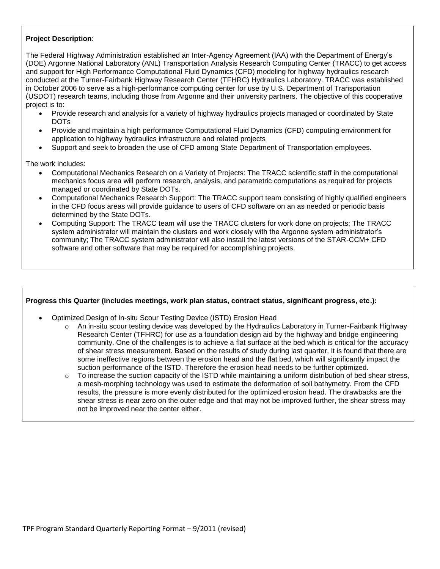## **Project Description**:

The Federal Highway Administration established an Inter-Agency Agreement (IAA) with the Department of Energy's (DOE) Argonne National Laboratory (ANL) Transportation Analysis Research Computing Center (TRACC) to get access and support for High Performance Computational Fluid Dynamics (CFD) modeling for highway hydraulics research conducted at the Turner-Fairbank Highway Research Center (TFHRC) Hydraulics Laboratory. TRACC was established in October 2006 to serve as a high-performance computing center for use by U.S. Department of Transportation (USDOT) research teams, including those from Argonne and their university partners. The objective of this cooperative project is to:

- Provide research and analysis for a variety of highway hydraulics projects managed or coordinated by State DOTs
- Provide and maintain a high performance Computational Fluid Dynamics (CFD) computing environment for application to highway hydraulics infrastructure and related projects
- Support and seek to broaden the use of CFD among State Department of Transportation employees.

The work includes:

- Computational Mechanics Research on a Variety of Projects: The TRACC scientific staff in the computational mechanics focus area will perform research, analysis, and parametric computations as required for projects managed or coordinated by State DOTs.
- Computational Mechanics Research Support: The TRACC support team consisting of highly qualified engineers in the CFD focus areas will provide guidance to users of CFD software on an as needed or periodic basis determined by the State DOTs.
- Computing Support: The TRACC team will use the TRACC clusters for work done on projects; The TRACC system administrator will maintain the clusters and work closely with the Argonne system administrator's community; The TRACC system administrator will also install the latest versions of the STAR-CCM+ CFD software and other software that may be required for accomplishing projects.

### **Progress this Quarter (includes meetings, work plan status, contract status, significant progress, etc.):**

- Optimized Design of In-situ Scour Testing Device (ISTD) Erosion Head
	- An in-situ scour testing device was developed by the Hydraulics Laboratory in Turner-Fairbank Highway Research Center (TFHRC) for use as a foundation design aid by the highway and bridge engineering community. One of the challenges is to achieve a flat surface at the bed which is critical for the accuracy of shear stress measurement. Based on the results of study during last quarter, it is found that there are some ineffective regions between the erosion head and the flat bed, which will significantly impact the suction performance of the ISTD. Therefore the erosion head needs to be further optimized.
	- $\circ$  To increase the suction capacity of the ISTD while maintaining a uniform distribution of bed shear stress, a mesh-morphing technology was used to estimate the deformation of soil bathymetry. From the CFD results, the pressure is more evenly distributed for the optimized erosion head. The drawbacks are the shear stress is near zero on the outer edge and that may not be improved further, the shear stress may not be improved near the center either.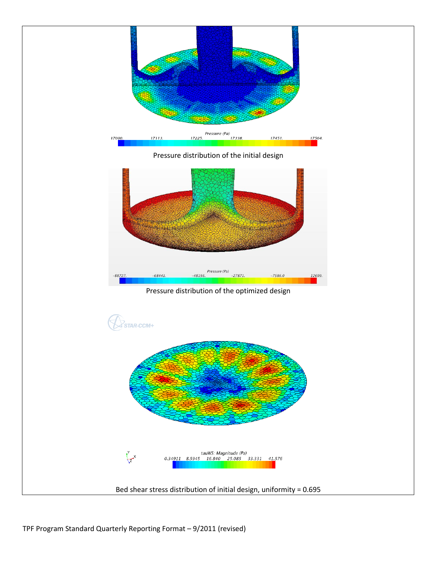

TPF Program Standard Quarterly Reporting Format – 9/2011 (revised)